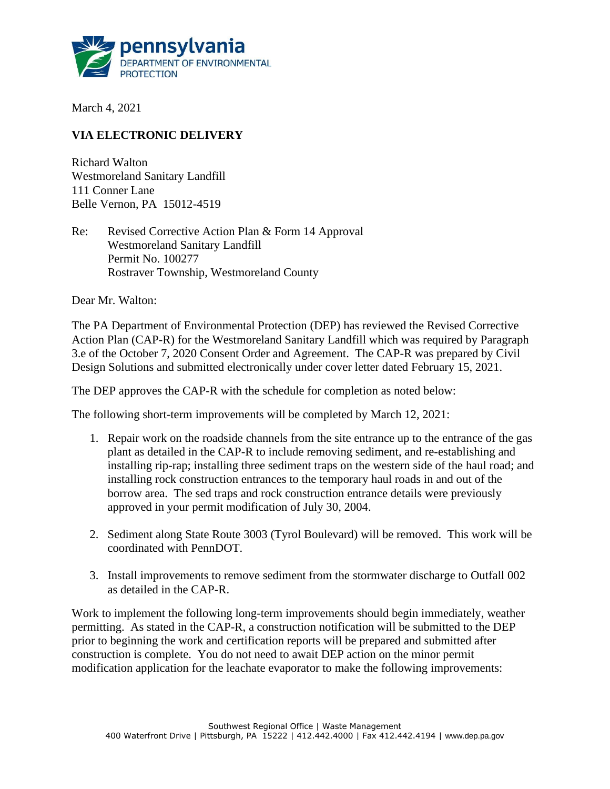

March 4, 2021

## **VIA ELECTRONIC DELIVERY**

Richard Walton Westmoreland Sanitary Landfill 111 Conner Lane Belle Vernon, PA 15012-4519

Re: Revised Corrective Action Plan & Form 14 Approval Westmoreland Sanitary Landfill Permit No. 100277 Rostraver Township, Westmoreland County

Dear Mr. Walton:

The PA Department of Environmental Protection (DEP) has reviewed the Revised Corrective Action Plan (CAP-R) for the Westmoreland Sanitary Landfill which was required by Paragraph 3.e of the October 7, 2020 Consent Order and Agreement. The CAP-R was prepared by Civil Design Solutions and submitted electronically under cover letter dated February 15, 2021.

The DEP approves the CAP-R with the schedule for completion as noted below:

The following short-term improvements will be completed by March 12, 2021:

- 1. Repair work on the roadside channels from the site entrance up to the entrance of the gas plant as detailed in the CAP-R to include removing sediment, and re-establishing and installing rip-rap; installing three sediment traps on the western side of the haul road; and installing rock construction entrances to the temporary haul roads in and out of the borrow area. The sed traps and rock construction entrance details were previously approved in your permit modification of July 30, 2004.
- 2. Sediment along State Route 3003 (Tyrol Boulevard) will be removed. This work will be coordinated with PennDOT.
- 3. Install improvements to remove sediment from the stormwater discharge to Outfall 002 as detailed in the CAP-R.

Work to implement the following long-term improvements should begin immediately, weather permitting. As stated in the CAP-R, a construction notification will be submitted to the DEP prior to beginning the work and certification reports will be prepared and submitted after construction is complete. You do not need to await DEP action on the minor permit modification application for the leachate evaporator to make the following improvements: